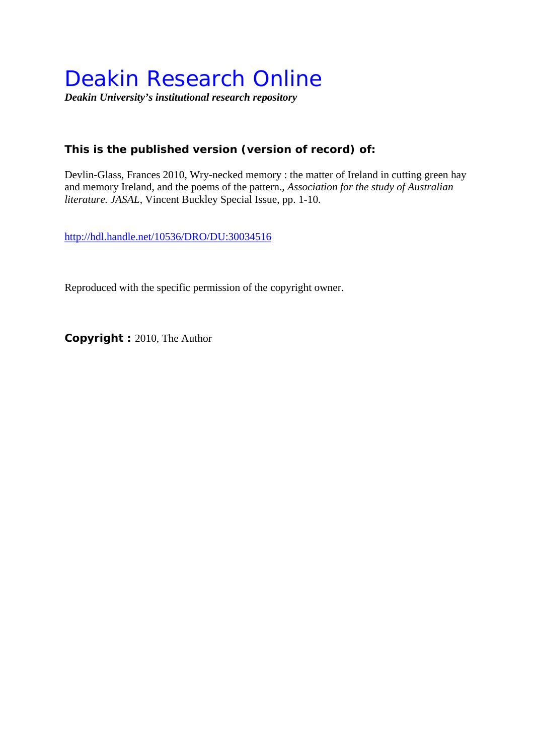# Deakin Research Online

*Deakin University's institutional research repository* 

## **This is the published version (version of record) of:**

Devlin-Glass, Frances 2010, Wry-necked memory : the matter of Ireland in cutting green hay and memory Ireland, and the poems of the pattern.*, Association for the study of Australian literature. JASAL*, Vincent Buckley Special Issue, pp. 1-10.

http://hdl.handle.net/10536/DRO/DU:30034516

Reproduced with the specific permission of the copyright owner.

**Copyright :** 2010, The Author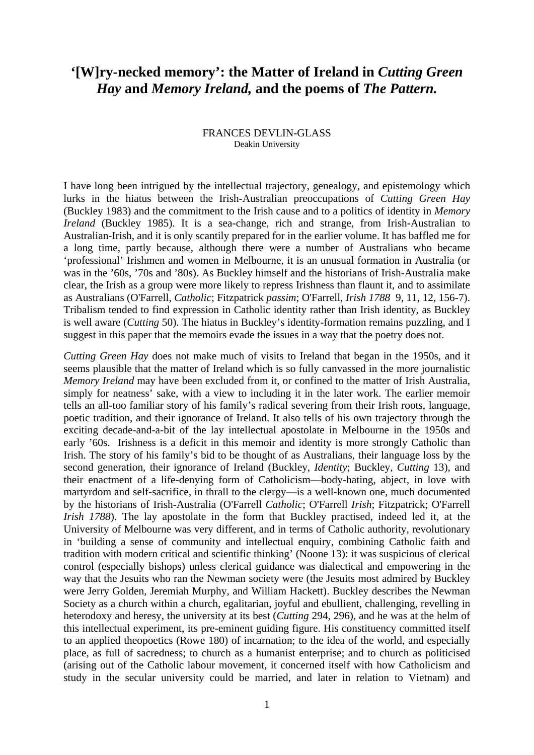# **'[W]ry-necked memory': the Matter of Ireland in** *Cutting Green Hay* **and** *Memory Ireland,* **and the poems of** *The Pattern.*

#### FRANCES DEVLIN-GLASS Deakin University

I have long been intrigued by the intellectual trajectory, genealogy, and epistemology which lurks in the hiatus between the Irish-Australian preoccupations of *Cutting Green Hay* (Buckley 1983) and the commitment to the Irish cause and to a politics of identity in *Memory Ireland* (Buckley 1985). It is a sea-change, rich and strange, from Irish-Australian to Australian-Irish, and it is only scantily prepared for in the earlier volume. It has baffled me for a long time, partly because, although there were a number of Australians who became 'professional' Irishmen and women in Melbourne, it is an unusual formation in Australia (or was in the '60s, '70s and '80s). As Buckley himself and the historians of Irish-Australia make clear, the Irish as a group were more likely to repress Irishness than flaunt it, and to assimilate as Australians (O'Farrell, *Catholic*; Fitzpatrick *passim*; O'Farrell, *Irish 1788* 9, 11, 12, 156-7). Tribalism tended to find expression in Catholic identity rather than Irish identity, as Buckley is well aware (*Cutting* 50). The hiatus in Buckley's identity-formation remains puzzling, and I suggest in this paper that the memoirs evade the issues in a way that the poetry does not.

*Cutting Green Hay* does not make much of visits to Ireland that began in the 1950s, and it seems plausible that the matter of Ireland which is so fully canvassed in the more journalistic *Memory Ireland* may have been excluded from it, or confined to the matter of Irish Australia, simply for neatness' sake, with a view to including it in the later work. The earlier memoir tells an all-too familiar story of his family's radical severing from their Irish roots, language, poetic tradition, and their ignorance of Ireland. It also tells of his own trajectory through the exciting decade-and-a-bit of the lay intellectual apostolate in Melbourne in the 1950s and early '60s. Irishness is a deficit in this memoir and identity is more strongly Catholic than Irish. The story of his family's bid to be thought of as Australians, their language loss by the second generation, their ignorance of Ireland (Buckley, *Identity*; Buckley, *Cutting* 13), and their enactment of a life-denying form of Catholicism—body-hating, abject, in love with martyrdom and self-sacrifice, in thrall to the clergy—is a well-known one, much documented by the historians of Irish-Australia (O'Farrell *Catholic*; O'Farrell *Irish*; Fitzpatrick; O'Farrell *Irish 1788*). The lay apostolate in the form that Buckley practised, indeed led it, at the University of Melbourne was very different, and in terms of Catholic authority, revolutionary in 'building a sense of community and intellectual enquiry, combining Catholic faith and tradition with modern critical and scientific thinking' (Noone 13): it was suspicious of clerical control (especially bishops) unless clerical guidance was dialectical and empowering in the way that the Jesuits who ran the Newman society were (the Jesuits most admired by Buckley were Jerry Golden, Jeremiah Murphy, and William Hackett). Buckley describes the Newman Society as a church within a church, egalitarian, joyful and ebullient, challenging, revelling in heterodoxy and heresy, the university at its best (*Cutting* 294, 296), and he was at the helm of this intellectual experiment, its pre-eminent guiding figure. His constituency committed itself to an applied theopoetics (Rowe 180) of incarnation; to the idea of the world, and especially place, as full of sacredness; to church as a humanist enterprise; and to church as politicised (arising out of the Catholic labour movement, it concerned itself with how Catholicism and study in the secular university could be married, and later in relation to Vietnam) and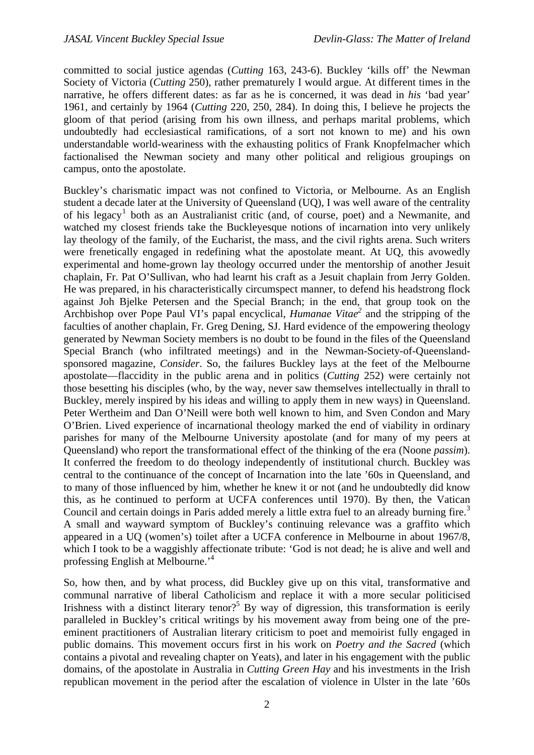committed to social justice agendas (*Cutting* 163, 243-6). Buckley 'kills off' the Newman Society of Victoria (*Cutting* 250), rather prematurely I would argue. At different times in the narrative, he offers different dates: as far as he is concerned, it was dead in *his* 'bad year' 1961, and certainly by 1964 (*Cutting* 220, 250, 284). In doing this, I believe he projects the gloom of that period (arising from his own illness, and perhaps marital problems, which undoubtedly had ecclesiastical ramifications, of a sort not known to me) and his own understandable world-weariness with the exhausting politics of Frank Knopfelmacher which factionalised the Newman society and many other political and religious groupings on campus, onto the apostolate.

Buckley's charismatic impact was not confined to Victoria, or Melbourne. As an English student a decade later at the University of Queensland (UQ), I was well aware of the centrality of his legacy<sup>[1](#page-8-0)</sup> both as an Australianist critic (and, of course, poet) and a Newmanite, and watched my closest friends take the Buckleyesque notions of incarnation into very unlikely lay theology of the family, of the Eucharist, the mass, and the civil rights arena. Such writers were frenetically engaged in redefining what the apostolate meant. At UQ, this avowedly experimental and home-grown lay theology occurred under the mentorship of another Jesuit chaplain, Fr. Pat O'Sullivan, who had learnt his craft as a Jesuit chaplain from Jerry Golden. He was prepared, in his characteristically circumspect manner, to defend his headstrong flock against Joh Bjelke Petersen and the Special Branch; in the end, that group took on the Archbishop over Pope Paul VI's papal encyclical, *Humanae Vitae2* and the stripping of the faculties of another chaplain, Fr. Greg Dening, SJ. Hard evidence of the empowering theology generated by Newman Society members is no doubt to be found in the files of the Queensland Special Branch (who infiltrated meetings) and in the Newman-Society-of-Queenslandsponsored magazine, *Consider*. So, the failures Buckley lays at the feet of the Melbourne apostolate—flaccidity in the public arena and in politics (*Cutting* 252) were certainly not those besetting his disciples (who, by the way, never saw themselves intellectually in thrall to Buckley, merely inspired by his ideas and willing to apply them in new ways) in Queensland. Peter Wertheim and Dan O'Neill were both well known to him, and Sven Condon and Mary O'Brien. Lived experience of incarnational theology marked the end of viability in ordinary parishes for many of the Melbourne University apostolate (and for many of my peers at Queensland) who report the transformational effect of the thinking of the era (Noone *passim*). It conferred the freedom to do theology independently of institutional church. Buckley was central to the continuance of the concept of Incarnation into the late '60s in Queensland, and to many of those influenced by him, whether he knew it or not (and he undoubtedly did know this, as he continued to perform at UCFA conferences until 1970). By then, the Vatican Council and certain doings in Paris added merely a little extra fuel to an already burning fire.<sup>3</sup> A small and wayward symptom of Buckley's continuing relevance was a graffito which appeared in a UQ (women's) toilet after a UCFA conference in Melbourne in about 1967/8, which I took to be a waggishly affectionate tribute: 'God is not dead; he is alive and well and professing English at Melbourne.'4

So, how then, and by what process, did Buckley give up on this vital, transformative and communal narrative of liberal Catholicism and replace it with a more secular politicised Irishness with a distinct literary tenor?<sup>5</sup> By way of digression, this transformation is eerily paralleled in Buckley's critical writings by his movement away from being one of the preeminent practitioners of Australian literary criticism to poet and memoirist fully engaged in public domains. This movement occurs first in his work on *Poetry and the Sacred* (which contains a pivotal and revealing chapter on Yeats), and later in his engagement with the public domains, of the apostolate in Australia in *Cutting Green Hay* and his investments in the Irish republican movement in the period after the escalation of violence in Ulster in the late '60s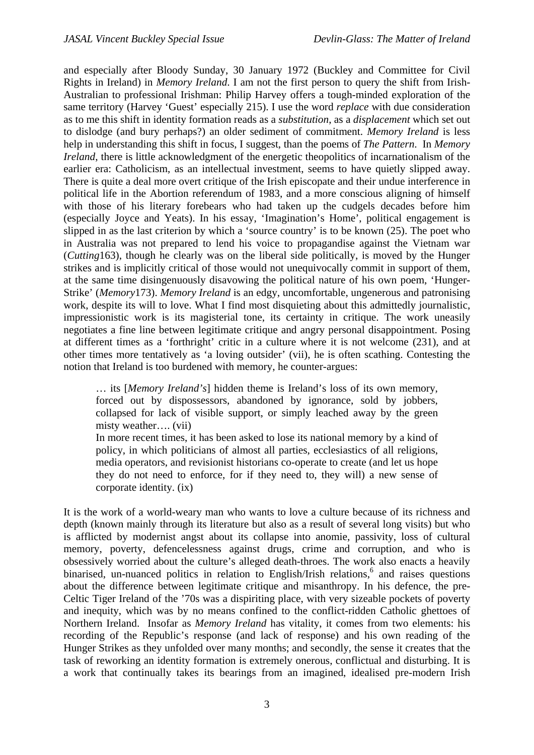and especially after Bloody Sunday, 30 January 1972 (Buckley and Committee for Civil Rights in Ireland) in *Memory Ireland*. I am not the first person to query the shift from Irish-Australian to professional Irishman: Philip Harvey offers a tough-minded exploration of the same territory (Harvey 'Guest' especially 215). I use the word *replace* with due consideration as to me this shift in identity formation reads as a *substitution*, as a *displacement* which set out to dislodge (and bury perhaps?) an older sediment of commitment. *Memory Ireland* is less help in understanding this shift in focus, I suggest, than the poems of *The Pattern*. In *Memory Ireland*, there is little acknowledgment of the energetic theopolitics of incarnationalism of the earlier era: Catholicism, as an intellectual investment, seems to have quietly slipped away. There is quite a deal more overt critique of the Irish episcopate and their undue interference in political life in the Abortion referendum of 1983, and a more conscious aligning of himself with those of his literary forebears who had taken up the cudgels decades before him (especially Joyce and Yeats). In his essay, 'Imagination's Home', political engagement is slipped in as the last criterion by which a 'source country' is to be known (25). The poet who in Australia was not prepared to lend his voice to propagandise against the Vietnam war (*Cutting*163), though he clearly was on the liberal side politically, is moved by the Hunger strikes and is implicitly critical of those would not unequivocally commit in support of them, at the same time disingenuously disavowing the political nature of his own poem, 'Hunger-Strike' (*Memory*173). *Memory Ireland* is an edgy, uncomfortable, ungenerous and patronising work, despite its will to love. What I find most disquieting about this admittedly journalistic, impressionistic work is its magisterial tone, its certainty in critique. The work uneasily negotiates a fine line between legitimate critique and angry personal disappointment. Posing at different times as a 'forthright' critic in a culture where it is not welcome (231), and at other times more tentatively as 'a loving outsider' (vii), he is often scathing. Contesting the notion that Ireland is too burdened with memory, he counter-argues:

… its [*Memory Ireland's*] hidden theme is Ireland's loss of its own memory, forced out by dispossessors, abandoned by ignorance, sold by jobbers, collapsed for lack of visible support, or simply leached away by the green misty weather…. (vii)

In more recent times, it has been asked to lose its national memory by a kind of policy, in which politicians of almost all parties, ecclesiastics of all religions, media operators, and revisionist historians co-operate to create (and let us hope they do not need to enforce, for if they need to, they will) a new sense of corporate identity. (ix)

It is the work of a world-weary man who wants to love a culture because of its richness and depth (known mainly through its literature but also as a result of several long visits) but who is afflicted by modernist angst about its collapse into anomie, passivity, loss of cultural memory, poverty, defencelessness against drugs, crime and corruption, and who is obsessively worried about the culture's alleged death-throes. The work also enacts a heavily binarised, un-nuanced politics in relation to English/Irish relations, $6$  and raises questions about the difference between legitimate critique and misanthropy. In his defence, the pre-Celtic Tiger Ireland of the '70s was a dispiriting place, with very sizeable pockets of poverty and inequity, which was by no means confined to the conflict-ridden Catholic ghettoes of Northern Ireland. Insofar as *Memory Ireland* has vitality, it comes from two elements: his recording of the Republic's response (and lack of response) and his own reading of the Hunger Strikes as they unfolded over many months; and secondly, the sense it creates that the task of reworking an identity formation is extremely onerous, conflictual and disturbing. It is a work that continually takes its bearings from an imagined, idealised pre-modern Irish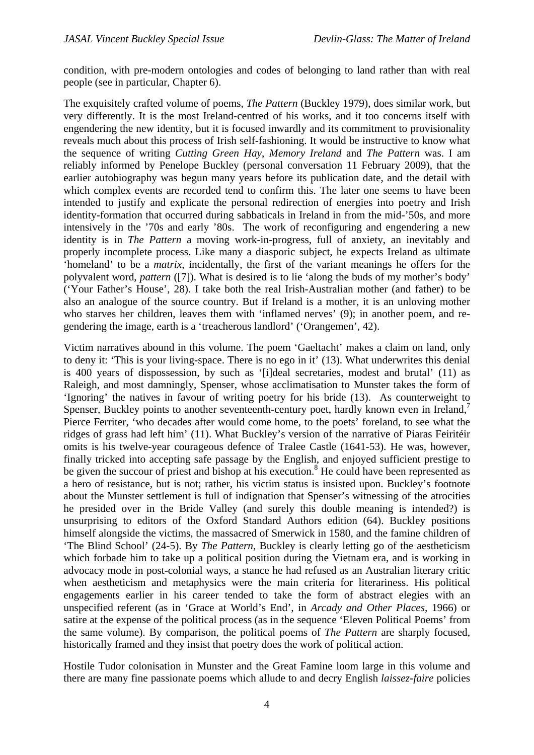condition, with pre-modern ontologies and codes of belonging to land rather than with real people (see in particular, Chapter 6).

The exquisitely crafted volume of poems, *The Pattern* (Buckley 1979), does similar work, but very differently. It is the most Ireland-centred of his works, and it too concerns itself with engendering the new identity, but it is focused inwardly and its commitment to provisionality reveals much about this process of Irish self-fashioning. It would be instructive to know what the sequence of writing *Cutting Green Hay*, *Memory Ireland* and *The Pattern* was. I am reliably informed by Penelope Buckley (personal conversation 11 February 2009), that the earlier autobiography was begun many years before its publication date, and the detail with which complex events are recorded tend to confirm this. The later one seems to have been intended to justify and explicate the personal redirection of energies into poetry and Irish identity-formation that occurred during sabbaticals in Ireland in from the mid-'50s, and more intensively in the '70s and early '80s. The work of reconfiguring and engendering a new identity is in *The Pattern* a moving work-in-progress, full of anxiety, an inevitably and properly incomplete process. Like many a diasporic subject, he expects Ireland as ultimate 'homeland' to be a *matrix*, incidentally, the first of the variant meanings he offers for the polyvalent word, *pattern* ([7]). What is desired is to lie 'along the buds of my mother's body' ('Your Father's House', 28). I take both the real Irish-Australian mother (and father) to be also an analogue of the source country. But if Ireland is a mother, it is an unloving mother who starves her children, leaves them with 'inflamed nerves' (9); in another poem, and regendering the image, earth is a 'treacherous landlord' ('Orangemen', 42).

Victim narratives abound in this volume. The poem 'Gaeltacht' makes a claim on land, only to deny it: 'This is your living-space. There is no ego in it' (13). What underwrites this denial is 400 years of dispossession, by such as '[i]deal secretaries, modest and brutal' (11) as Raleigh, and most damningly, Spenser, whose acclimatisation to Munster takes the form of 'Ignoring' the natives in favour of writing poetry for his bride (13). As counterweight to Spenser, Buckley points to another seventeenth-century poet, hardly known even in Ireland.<sup>7</sup> Pierce Ferriter, 'who decades after would come home, to the poets' foreland, to see what the ridges of grass had left him' (11). What Buckley's version of the narrative of Piaras Feiritéir omits is his twelve-year courageous defence of Tralee Castle (1641-53). He was, however, finally tricked into accepting safe passage by the English, and enjoyed sufficient prestige to be given the succour of priest and bishop at his execution.<sup>8</sup> He could have been represented as a hero of resistance, but is not; rather, his victim status is insisted upon. Buckley's footnote about the Munster settlement is full of indignation that Spenser's witnessing of the atrocities he presided over in the Bride Valley (and surely this double meaning is intended?) is unsurprising to editors of the Oxford Standard Authors edition (64). Buckley positions himself alongside the victims, the massacred of Smerwick in 1580, and the famine children of 'The Blind School' (24-5). By *The Pattern*, Buckley is clearly letting go of the aestheticism which forbade him to take up a political position during the Vietnam era, and is working in advocacy mode in post-colonial ways, a stance he had refused as an Australian literary critic when aestheticism and metaphysics were the main criteria for literariness. His political engagements earlier in his career tended to take the form of abstract elegies with an unspecified referent (as in 'Grace at World's End', in *Arcady and Other Places*, 1966) or satire at the expense of the political process (as in the sequence 'Eleven Political Poems' from the same volume). By comparison, the political poems of *The Pattern* are sharply focused, historically framed and they insist that poetry does the work of political action.

Hostile Tudor colonisation in Munster and the Great Famine loom large in this volume and there are many fine passionate poems which allude to and decry English *laissez-faire* policies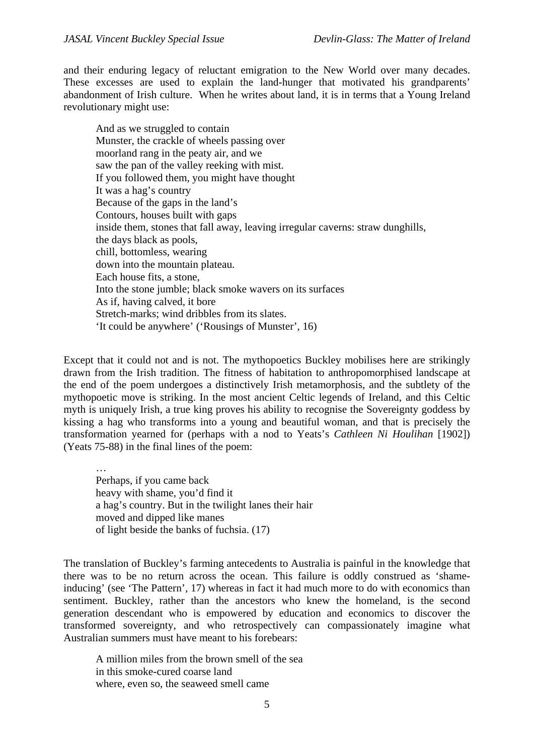and their enduring legacy of reluctant emigration to the New World over many decades. These excesses are used to explain the land-hunger that motivated his grandparents' abandonment of Irish culture. When he writes about land, it is in terms that a Young Ireland revolutionary might use:

And as we struggled to contain Munster, the crackle of wheels passing over moorland rang in the peaty air, and we saw the pan of the valley reeking with mist. If you followed them, you might have thought It was a hag's country Because of the gaps in the land's Contours, houses built with gaps inside them, stones that fall away, leaving irregular caverns: straw dunghills, the days black as pools, chill, bottomless, wearing down into the mountain plateau. Each house fits, a stone, Into the stone jumble; black smoke wavers on its surfaces As if, having calved, it bore Stretch-marks; wind dribbles from its slates. 'It could be anywhere' ('Rousings of Munster', 16)

Except that it could not and is not. The mythopoetics Buckley mobilises here are strikingly drawn from the Irish tradition. The fitness of habitation to anthropomorphised landscape at the end of the poem undergoes a distinctively Irish metamorphosis, and the subtlety of the mythopoetic move is striking. In the most ancient Celtic legends of Ireland, and this Celtic myth is uniquely Irish, a true king proves his ability to recognise the Sovereignty goddess by kissing a hag who transforms into a young and beautiful woman, and that is precisely the transformation yearned for (perhaps with a nod to Yeats's *Cathleen Ni Houlihan* [1902]) (Yeats 75-88) in the final lines of the poem:

… Perhaps, if you came back heavy with shame, you'd find it a hag's country. But in the twilight lanes their hair moved and dipped like manes of light beside the banks of fuchsia. (17)

The translation of Buckley's farming antecedents to Australia is painful in the knowledge that there was to be no return across the ocean. This failure is oddly construed as 'shameinducing' (see 'The Pattern', 17) whereas in fact it had much more to do with economics than sentiment. Buckley, rather than the ancestors who knew the homeland, is the second generation descendant who is empowered by education and economics to discover the transformed sovereignty, and who retrospectively can compassionately imagine what Australian summers must have meant to his forebears:

A million miles from the brown smell of the sea in this smoke-cured coarse land where, even so, the seaweed smell came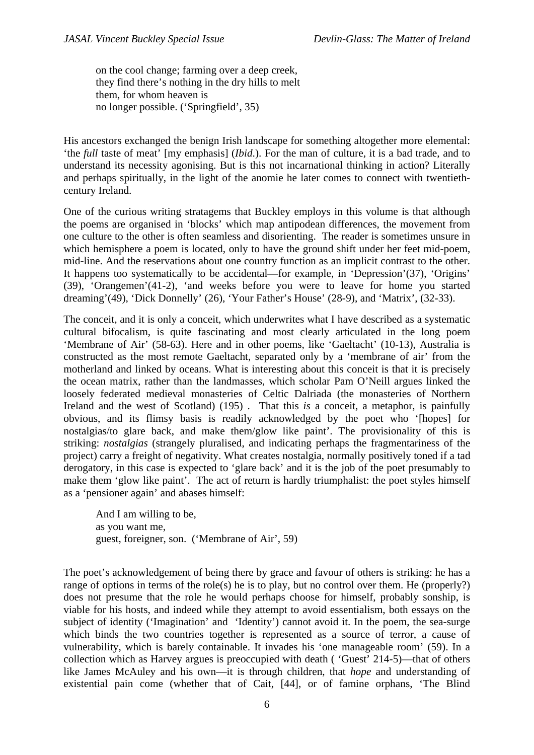on the cool change; farming over a deep creek, they find there's nothing in the dry hills to melt them, for whom heaven is no longer possible. ('Springfield', 35)

His ancestors exchanged the benign Irish landscape for something altogether more elemental: 'the *full* taste of meat' [my emphasis] (*Ibid*.). For the man of culture, it is a bad trade, and to understand its necessity agonising. But is this not incarnational thinking in action? Literally and perhaps spiritually, in the light of the anomie he later comes to connect with twentiethcentury Ireland.

One of the curious writing stratagems that Buckley employs in this volume is that although the poems are organised in 'blocks' which map antipodean differences, the movement from one culture to the other is often seamless and disorienting. The reader is sometimes unsure in which hemisphere a poem is located, only to have the ground shift under her feet mid-poem, mid-line. And the reservations about one country function as an implicit contrast to the other. It happens too systematically to be accidental—for example, in 'Depression'(37), 'Origins' (39), 'Orangemen'(41-2), 'and weeks before you were to leave for home you started dreaming'(49), 'Dick Donnelly' (26), 'Your Father's House' (28-9), and 'Matrix', (32-33).

The conceit, and it is only a conceit, which underwrites what I have described as a systematic cultural bifocalism, is quite fascinating and most clearly articulated in the long poem 'Membrane of Air' (58-63). Here and in other poems, like 'Gaeltacht' (10-13), Australia is constructed as the most remote Gaeltacht, separated only by a 'membrane of air' from the motherland and linked by oceans. What is interesting about this conceit is that it is precisely the ocean matrix, rather than the landmasses, which scholar Pam O'Neill argues linked the loosely federated medieval monasteries of Celtic Dalriada (the monasteries of Northern Ireland and the west of Scotland) (195) . That this *is* a conceit, a metaphor, is painfully obvious, and its flimsy basis is readily acknowledged by the poet who '[hopes] for nostalgias/to glare back, and make them/glow like paint'. The provisionality of this is striking: *nostalgias* (strangely pluralised, and indicating perhaps the fragmentariness of the project) carry a freight of negativity. What creates nostalgia, normally positively toned if a tad derogatory, in this case is expected to 'glare back' and it is the job of the poet presumably to make them 'glow like paint'. The act of return is hardly triumphalist: the poet styles himself as a 'pensioner again' and abases himself:

And I am willing to be, as you want me, guest, foreigner, son. ('Membrane of Air', 59)

The poet's acknowledgement of being there by grace and favour of others is striking: he has a range of options in terms of the role(s) he is to play, but no control over them. He (properly?) does not presume that the role he would perhaps choose for himself, probably sonship, is viable for his hosts, and indeed while they attempt to avoid essentialism, both essays on the subject of identity ('Imagination' and 'Identity') cannot avoid it. In the poem, the sea-surge which binds the two countries together is represented as a source of terror, a cause of vulnerability, which is barely containable. It invades his 'one manageable room' (59). In a collection which as Harvey argues is preoccupied with death ( 'Guest' 214-5)—that of others like James McAuley and his own—it is through children, that *hope* and understanding of existential pain come (whether that of Cait, [44], or of famine orphans, 'The Blind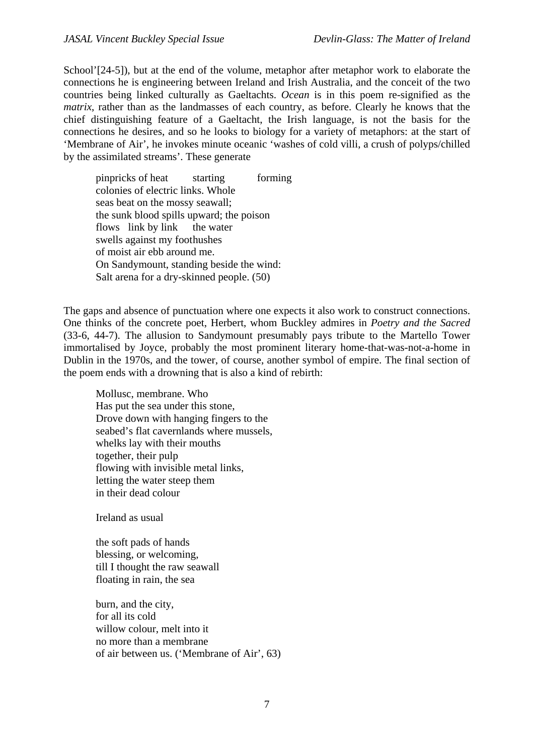School'<sup>[24-5]</sup>), but at the end of the volume, metaphor after metaphor work to elaborate the connections he is engineering between Ireland and Irish Australia, and the conceit of the two countries being linked culturally as Gaeltachts. *Ocean* is in this poem re-signified as the *matrix*, rather than as the landmasses of each country, as before. Clearly he knows that the chief distinguishing feature of a Gaeltacht, the Irish language, is not the basis for the connections he desires, and so he looks to biology for a variety of metaphors: at the start of 'Membrane of Air', he invokes minute oceanic 'washes of cold villi, a crush of polyps/chilled by the assimilated streams'. These generate

pinpricks of heat starting forming colonies of electric links. Whole seas beat on the mossy seawall; the sunk blood spills upward; the poison flows link by link the water swells against my foothushes of moist air ebb around me. On Sandymount, standing beside the wind: Salt arena for a dry-skinned people. (50)

The gaps and absence of punctuation where one expects it also work to construct connections. One thinks of the concrete poet, Herbert, whom Buckley admires in *Poetry and the Sacred* (33-6, 44-7). The allusion to Sandymount presumably pays tribute to the Martello Tower immortalised by Joyce, probably the most prominent literary home-that-was-not-a-home in Dublin in the 1970s, and the tower, of course, another symbol of empire. The final section of the poem ends with a drowning that is also a kind of rebirth:

Mollusc, membrane. Who Has put the sea under this stone, Drove down with hanging fingers to the seabed's flat cavernlands where mussels, whelks lay with their mouths together, their pulp flowing with invisible metal links, letting the water steep them in their dead colour

Ireland as usual

the soft pads of hands blessing, or welcoming, till I thought the raw seawall floating in rain, the sea

burn, and the city, for all its cold willow colour, melt into it no more than a membrane of air between us. ('Membrane of Air', 63)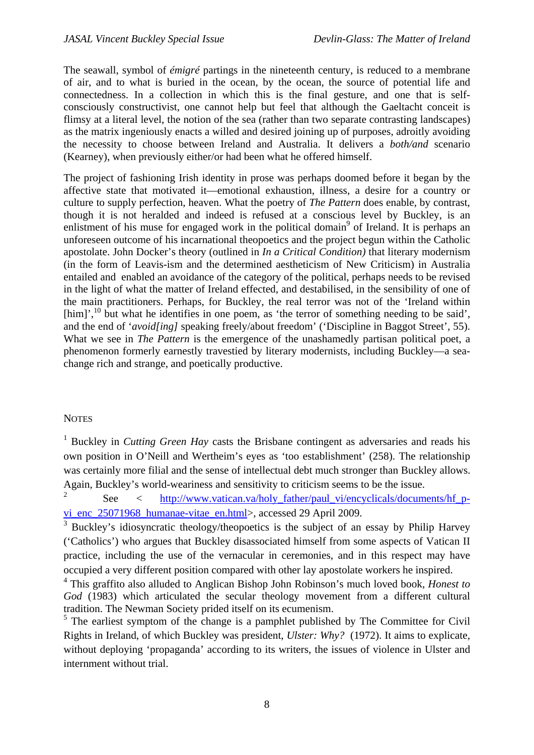The seawall, symbol of *émigré* partings in the nineteenth century, is reduced to a membrane of air, and to what is buried in the ocean, by the ocean, the source of potential life and connectedness. In a collection in which this is the final gesture, and one that is selfconsciously constructivist, one cannot help but feel that although the Gaeltacht conceit is flimsy at a literal level, the notion of the sea (rather than two separate contrasting landscapes) as the matrix ingeniously enacts a willed and desired joining up of purposes, adroitly avoiding the necessity to choose between Ireland and Australia. It delivers a *both/and* scenario (Kearney), when previously either/or had been what he offered himself.

The project of fashioning Irish identity in prose was perhaps doomed before it began by the affective state that motivated it—emotional exhaustion, illness, a desire for a country or culture to supply perfection, heaven. What the poetry of *The Pattern* does enable, by contrast, though it is not heralded and indeed is refused at a conscious level by Buckley, is an enlistment of his muse for engaged work in the political domain<sup>9</sup> of Ireland. It is perhaps an unforeseen outcome of his incarnational theopoetics and the project begun within the Catholic apostolate. John Docker's theory (outlined in *In a Critical Condition)* that literary modernism (in the form of Leavis-ism and the determined aestheticism of New Criticism) in Australia entailed and enabled an avoidance of the category of the political, perhaps needs to be revised in the light of what the matter of Ireland effected, and destabilised, in the sensibility of one of the main practitioners. Perhaps, for Buckley, the real terror was not of the 'Ireland within  $[\text{him}]$ <sup>10</sup>, but what he identifies in one poem, as 'the terror of something needing to be said'. and the end of '*avoid[ing]* speaking freely/about freedom' ('Discipline in Baggot Street', 55). What we see in *The Pattern* is the emergence of the unashamedly partisan political poet, a phenomenon formerly earnestly travestied by literary modernists, including Buckley—a seachange rich and strange, and poetically productive.

### <span id="page-8-0"></span>**NOTES**

<sup>1</sup> Buckley in *Cutting Green Hay* casts the Brisbane contingent as adversaries and reads his own position in O'Neill and Wertheim's eyes as 'too establishment' (258). The relationship was certainly more filial and the sense of intellectual debt much stronger than Buckley allows. Again, Buckley's world-weariness and sensitivity to criticism seems to be the issue.

2 See < [http://www.vatican.va/holy\\_father/paul\\_vi/encyclicals/documents/hf\\_p](http://www.vatican.va/holy_father/paul_vi/encyclicals/documents/hf_p-vi_enc_25071968_humanae-vitae_en.html)[vi\\_enc\\_25071968\\_humanae-vitae\\_en.html>](http://www.vatican.va/holy_father/paul_vi/encyclicals/documents/hf_p-vi_enc_25071968_humanae-vitae_en.html), accessed 29 April 2009.

<sup>3</sup> Buckley's idiosyncratic theology/theopoetics is the subject of an essay by Philip Harvey ('Catholics') who argues that Buckley disassociated himself from some aspects of Vatican II practice, including the use of the vernacular in ceremonies, and in this respect may have occupied a very different position compared with other lay apostolate workers he inspired.

4 This graffito also alluded to Anglican Bishop John Robinson's much loved book, *Honest to God* (1983) which articulated the secular theology movement from a different cultural tradition. The Newman Society prided itself on its ecumenism.

<sup>5</sup> The earliest symptom of the change is a pamphlet published by The Committee for Civil Rights in Ireland, of which Buckley was president, *Ulster: Why?* (1972). It aims to explicate, without deploying 'propaganda' according to its writers, the issues of violence in Ulster and internment without trial.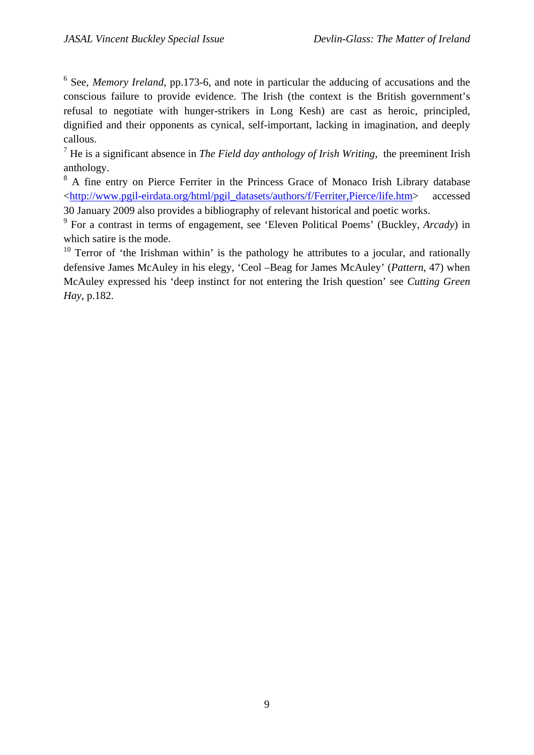<sup>6</sup> See, *Memory Ireland*, pp.173-6, and note in particular the adducing of accusations and the conscious failure to provide evidence. The Irish (the context is the British government's refusal to negotiate with hunger-strikers in Long Kesh) are cast as heroic, principled, dignified and their opponents as cynical, self-important, lacking in imagination, and deeply callous.

7 He is a significant absence in *The Field day anthology of Irish Writing*, the preeminent Irish anthology.

<sup>8</sup> A fine entry on Pierce Ferriter in the Princess Grace of Monaco Irish Library database <[http://www.pgil-eirdata.org/html/pgil\\_datasets/authors/f/Ferriter,Pierce/life.htm](http://www.pgil-eirdata.org/html/pgil_datasets/authors/f/Ferriter,Pierce/life.htm)> accessed 30 January 2009 also provides a bibliography of relevant historical and poetic works.

9 For a contrast in terms of engagement, see 'Eleven Political Poems' (Buckley, *Arcady*) in which satire is the mode.

<sup>10</sup> Terror of 'the Irishman within' is the pathology he attributes to a jocular, and rationally defensive James McAuley in his elegy, 'Ceol –Beag for James McAuley' (*Pattern*, 47) when McAuley expressed his 'deep instinct for not entering the Irish question' see *Cutting Green Hay*, p.182.